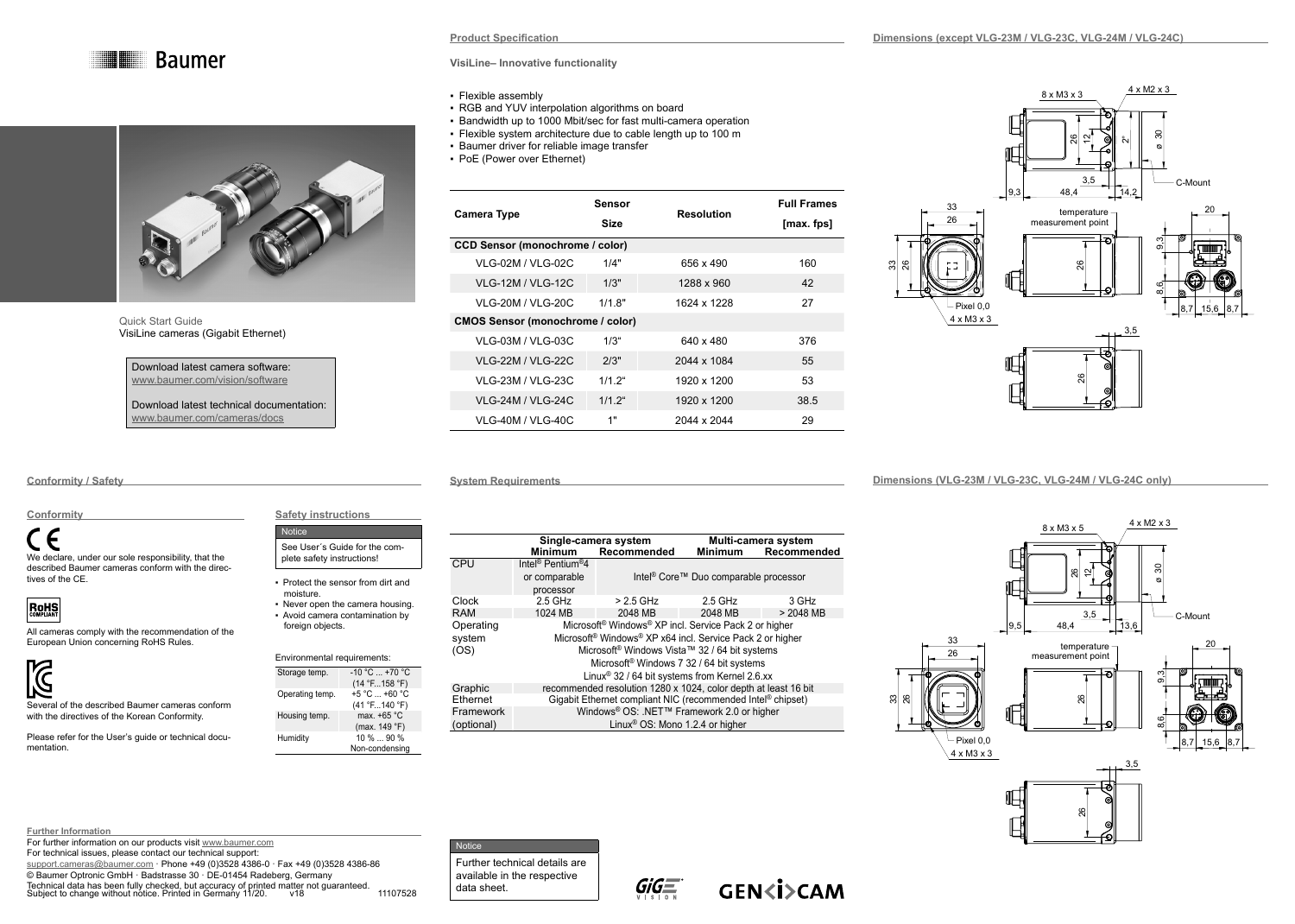



Quick Start Guide VisiLine cameras (Gigabit Ethernet)

| Download latest camera software: |  |
|----------------------------------|--|
| www.baumer.com/vision/software   |  |
|                                  |  |
|                                  |  |

Download latest technical documentation: [www.baumer.com/cameras/docs](http://www.baumer.com/cameras/docs)

## **VisiLine– Innovative functionality**

- Flexible assembly
- RGB and YUV interpolation algorithms on board
- Bandwidth up to 1000 Mbit/sec for fast multi-camera operation
- Flexible system architecture due to cable length up to 100 m
- **Baumer driver for reliable image transfer**
- PoE (Power over Ethernet)

| Camera Type                             | Sensor<br>Size | Resolution  | <b>Full Frames</b><br>[max. fps] |  |
|-----------------------------------------|----------------|-------------|----------------------------------|--|
| <b>CCD Sensor (monochrome / color)</b>  |                |             |                                  |  |
| VLG-02M / VLG-02C                       | 1/4"           | 656 x 490   | 160                              |  |
| <b>VLG-12M / VLG-12C</b>                | 1/3"           | 1288 x 960  | 42                               |  |
| VI G-20M / VI G-20C                     | $1/1$ $8"$     | 1624 x 1228 | 27                               |  |
| <b>CMOS Sensor (monochrome / color)</b> |                |             |                                  |  |
| <b>VLG-03M / VLG-03C</b>                | $1/3$ "        | 640 x 480   | 376                              |  |
| <b>VLG-22M / VLG-22C</b>                | 2/3"           | 2044 x 1084 | 55                               |  |
| VI G-23M / VI G-23C                     | $1/12$ "       | 1920 x 1200 | 53                               |  |
| <b>VLG-24M / VLG-24C</b>                | $1/12$ "       | 1920 x 1200 | 38.5                             |  |
| <b>VLG-40M / VLG-40C</b>                | 1"             | 2044 x 2044 | 29                               |  |

**Dimensions (except VLG-23M / VLG-23C, VLG-24M / VLG-24C)**



**System Requirements** 

**Conformity / Safety**

# **Conformity**

 $\epsilon$ We declare, under our sole responsibility, that the described Baumer cameras conform with the directives of the CE.



All cameras comply with the recommendation of the European Union concerning RoHS Rules.



**Further Information**

Several of the described Baumer cameras conform with the directives of the Korean Conformity.

Please refer for the User's guide or technical documentation.

For further information on our products visit [www.baumer.com](http://www.baumer.com) For technical issues, please contact our technical support:

© Baumer Optronic GmbH · Badstrasse 30 · DE-01454 Radeberg, Germany

Technical data has been fully checked, but accuracy of printed matter not guaranteed. Subject to change without notice. Printed in Germany 11/20. v18 11107528

|            | Single-camera system                                                              |             | Multi-camera system                               |             |  |
|------------|-----------------------------------------------------------------------------------|-------------|---------------------------------------------------|-------------|--|
|            | <b>Minimum</b>                                                                    | Recommended | <b>Minimum</b>                                    | Recommended |  |
| CPU        | Intel <sup>®</sup> Pentium <sup>®</sup> 4                                         |             |                                                   |             |  |
|            | or comparable                                                                     |             | Intel <sup>®</sup> Core™ Duo comparable processor |             |  |
|            | processor                                                                         |             |                                                   |             |  |
| Clock      | $2.5$ GHz                                                                         | $> 2.5$ GHz | $2.5$ GHz                                         | 3 GHz       |  |
| <b>RAM</b> | 1024 MB                                                                           | 2048 MB     | 2048 MB                                           | $> 2048$ MB |  |
| Operating  | Microsoft <sup>®</sup> Windows <sup>®</sup> XP incl. Service Pack 2 or higher     |             |                                                   |             |  |
| system     | Microsoft <sup>®</sup> Windows <sup>®</sup> XP x64 incl. Service Pack 2 or higher |             |                                                   |             |  |
| (OS)       | Microsoft <sup>®</sup> Windows Vista™ 32 / 64 bit systems                         |             |                                                   |             |  |
|            | Microsoft <sup>®</sup> Windows 7 32 / 64 bit systems                              |             |                                                   |             |  |
|            | Linux <sup>®</sup> 32 / 64 bit systems from Kernel 2.6.xx                         |             |                                                   |             |  |
| Graphic    | recommended resolution 1280 x 1024, color depth at least 16 bit                   |             |                                                   |             |  |
| Ethernet   | Gigabit Ethernet compliant NIC (recommended Intel® chipset)                       |             |                                                   |             |  |
| Framework  | Windows <sup>®</sup> OS: .NET™ Framework 2.0 or higher                            |             |                                                   |             |  |
| (optional) | Linux <sup>®</sup> OS: Mono 1.2.4 or higher                                       |             |                                                   |             |  |

#### **Dimensions (VLG-23M / VLG-23C, VLG-24M / VLG-24C only)**



33



20





3,5

[support.cameras@baumer.com](mailto:support.cameras%40baumer.com?subject=) · Phone +49 (0)3528 4386-0 · Fax +49 (0)3528 4386-86

 $(14 °F...158 °F)$ <br>+5 °C ... +60 °C

(41 °F...140 °F)<br>max. +65 °C

(max. 149 °F)

Non-condensing

**Safety instructions**

See User´s Guide for the complete safety instructions! ▪ Protect the sensor from dirt and

▪ Never open the camera housing. ▪ Avoid camera contamination by foreign objects.

Environmental requirements: Storage temp. -10 °C ... +70 °C

Humidity 10 % ... 90 %

**Notice** 

moisture.

Operating temp.

Housing temp.

Further technical details are available in the respective data sheet.

**Notice**